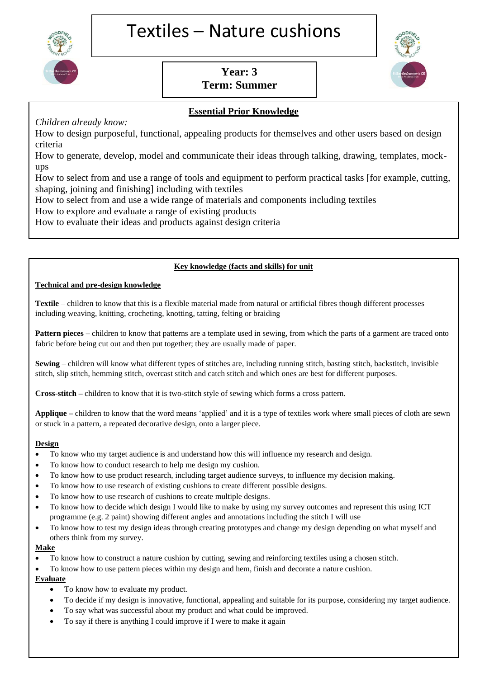

# Textiles – Nature cushions

# **Year: 3 Term: Summer**



# **Essential Prior Knowledge**

*Children already know:*

How to design purposeful, functional, appealing products for themselves and other users based on design criteria

How to generate, develop, model and communicate their ideas through talking, drawing, templates, mockups

How to select from and use a range of tools and equipment to perform practical tasks [for example, cutting, shaping, joining and finishing] including with textiles

How to select from and use a wide range of materials and components including textiles

How to explore and evaluate a range of existing products

How to evaluate their ideas and products against design criteria

#### **Key knowledge (facts and skills) for unit**

#### **Technical and pre-design knowledge**

**Textile** – children to know that this is a flexible material made from natural or artificial fibres though different processes including weaving, knitting, crocheting, knotting, tatting, felting or braiding

**Pattern pieces** – children to know that patterns are a template used in sewing, from which the parts of a garment are traced onto fabric before being cut out and then put together; they are usually made of paper.

**Sewing** – children will know what different types of stitches are, including running stitch, basting stitch, backstitch, invisible stitch, slip stitch, hemming stitch, overcast stitch and catch stitch and which ones are best for different purposes.

**Cross-stitch –** children to know that it is two-stitch style of sewing which forms a cross pattern.

**Applique –** children to know that the word means 'applied' and it is a type of textiles work where small pieces of cloth are sewn or stuck in a [pattern,](https://www.kapowprimary.com/glossary/pattern/) a repeated decorative design, onto a larger piece.

#### **Design**

- To know who my target audience is and understand how this will influence my research and design.
- To know how to conduct research to help me design my cushion.
- To know how to use product research, including target audience surveys, to influence my decision making.
- To know how to use research of existing cushions to create different possible designs.
- To know how to use research of cushions to create multiple designs.
- To know how to decide which design I would like to make by using my survey outcomes and represent this using ICT programme (e.g. 2 paint) showing different angles and annotations including the stitch I will use
- To know how to test my design ideas through creating prototypes and change my design depending on what myself and others think from my survey.

#### **Make**

- To know how to construct a nature cushion by cutting, sewing and reinforcing textiles using a chosen stitch.
- To know how to use pattern pieces within my design and hem, finish and decorate a nature cushion.

# **Evaluate**

- To know how to evaluate my product.
- To decide if my design is innovative, functional, appealing and suitable for its purpose, considering my target audience.
- To say what was successful about my product and what could be improved.
- To say if there is anything I could improve if I were to make it again